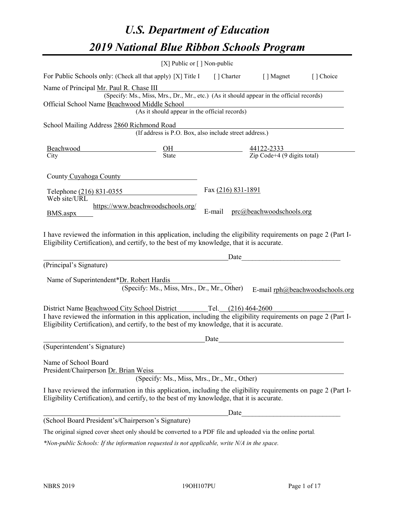# *U.S. Department of Education 2019 National Blue Ribbon Schools Program*

|                                                                                         | [X] Public or $\lceil$ ] Non-public                                                                                                                                                                                                                                              |                                                                    |                                                                 |                                 |
|-----------------------------------------------------------------------------------------|----------------------------------------------------------------------------------------------------------------------------------------------------------------------------------------------------------------------------------------------------------------------------------|--------------------------------------------------------------------|-----------------------------------------------------------------|---------------------------------|
| For Public Schools only: (Check all that apply) [X] Title I                             |                                                                                                                                                                                                                                                                                  | [] Charter                                                         | [ ] Magnet                                                      | [] Choice                       |
| Name of Principal Mr. Paul R. Chase III<br>Official School Name Beachwood Middle School | (Specify: Ms., Miss, Mrs., Dr., Mr., etc.) (As it should appear in the official records)<br>(As it should appear in the official records)                                                                                                                                        | <u> 1989 - Johann Barn, mars eta bainar eta idazlea (h. 1989).</u> |                                                                 |                                 |
| School Mailing Address 2860 Richmond Road                                               |                                                                                                                                                                                                                                                                                  |                                                                    |                                                                 |                                 |
|                                                                                         | (If address is P.O. Box, also include street address.)                                                                                                                                                                                                                           |                                                                    |                                                                 |                                 |
| Beachwood<br>City                                                                       | $rac{\text{OH}}{\text{State}}$                                                                                                                                                                                                                                                   |                                                                    | $\frac{44122-2333}{\text{Zip Code}+4 (9 \text{ digits total})}$ |                                 |
| County Cuyahoga County                                                                  |                                                                                                                                                                                                                                                                                  |                                                                    |                                                                 |                                 |
| Telephone (216) 831-0355                                                                |                                                                                                                                                                                                                                                                                  | Fax (216) 831-1891                                                 |                                                                 |                                 |
| Web site/URL<br>BMS.aspx                                                                | https://www.beachwoodschools.org/                                                                                                                                                                                                                                                | E-mail                                                             | prc@beachwoodschools.org                                        |                                 |
|                                                                                         | I have reviewed the information in this application, including the eligibility requirements on page 2 (Part I-<br>Eligibility Certification), and certify, to the best of my knowledge, that it is accurate.                                                                     | Date                                                               |                                                                 |                                 |
| (Principal's Signature)                                                                 |                                                                                                                                                                                                                                                                                  |                                                                    |                                                                 |                                 |
| Name of Superintendent*Dr. Robert Hardis                                                | (Specify: Ms., Miss, Mrs., Dr., Mr., Other)                                                                                                                                                                                                                                      |                                                                    |                                                                 | E-mail rph@beachwoodschools.org |
|                                                                                         | District Name Beachwood City School District Tel. (216) 464-2600<br>I have reviewed the information in this application, including the eligibility requirements on page 2 (Part I-<br>Eligibility Certification), and certify, to the best of my knowledge, that it is accurate. |                                                                    |                                                                 |                                 |
|                                                                                         |                                                                                                                                                                                                                                                                                  | Date                                                               |                                                                 |                                 |
| (Superintendent's Signature)                                                            |                                                                                                                                                                                                                                                                                  |                                                                    |                                                                 |                                 |
| Name of School Board<br>President/Chairperson Dr. Brian Weiss                           | (Specify: Ms., Miss, Mrs., Dr., Mr., Other)                                                                                                                                                                                                                                      |                                                                    |                                                                 |                                 |
|                                                                                         | I have reviewed the information in this application, including the eligibility requirements on page 2 (Part I-<br>Eligibility Certification), and certify, to the best of my knowledge, that it is accurate.                                                                     |                                                                    |                                                                 |                                 |
|                                                                                         |                                                                                                                                                                                                                                                                                  | Date                                                               |                                                                 |                                 |
| (School Board President's/Chairperson's Signature)                                      |                                                                                                                                                                                                                                                                                  |                                                                    |                                                                 |                                 |
|                                                                                         | The original signed cover sheet only should be converted to a PDF file and uploaded via the online portal.                                                                                                                                                                       |                                                                    |                                                                 |                                 |

*\*Non-public Schools: If the information requested is not applicable, write N/A in the space.*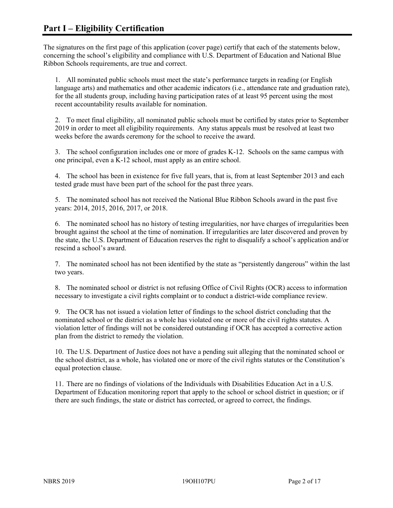The signatures on the first page of this application (cover page) certify that each of the statements below, concerning the school's eligibility and compliance with U.S. Department of Education and National Blue Ribbon Schools requirements, are true and correct.

1. All nominated public schools must meet the state's performance targets in reading (or English language arts) and mathematics and other academic indicators (i.e., attendance rate and graduation rate), for the all students group, including having participation rates of at least 95 percent using the most recent accountability results available for nomination.

2. To meet final eligibility, all nominated public schools must be certified by states prior to September 2019 in order to meet all eligibility requirements. Any status appeals must be resolved at least two weeks before the awards ceremony for the school to receive the award.

3. The school configuration includes one or more of grades K-12. Schools on the same campus with one principal, even a K-12 school, must apply as an entire school.

4. The school has been in existence for five full years, that is, from at least September 2013 and each tested grade must have been part of the school for the past three years.

5. The nominated school has not received the National Blue Ribbon Schools award in the past five years: 2014, 2015, 2016, 2017, or 2018.

6. The nominated school has no history of testing irregularities, nor have charges of irregularities been brought against the school at the time of nomination. If irregularities are later discovered and proven by the state, the U.S. Department of Education reserves the right to disqualify a school's application and/or rescind a school's award.

7. The nominated school has not been identified by the state as "persistently dangerous" within the last two years.

8. The nominated school or district is not refusing Office of Civil Rights (OCR) access to information necessary to investigate a civil rights complaint or to conduct a district-wide compliance review.

9. The OCR has not issued a violation letter of findings to the school district concluding that the nominated school or the district as a whole has violated one or more of the civil rights statutes. A violation letter of findings will not be considered outstanding if OCR has accepted a corrective action plan from the district to remedy the violation.

10. The U.S. Department of Justice does not have a pending suit alleging that the nominated school or the school district, as a whole, has violated one or more of the civil rights statutes or the Constitution's equal protection clause.

11. There are no findings of violations of the Individuals with Disabilities Education Act in a U.S. Department of Education monitoring report that apply to the school or school district in question; or if there are such findings, the state or district has corrected, or agreed to correct, the findings.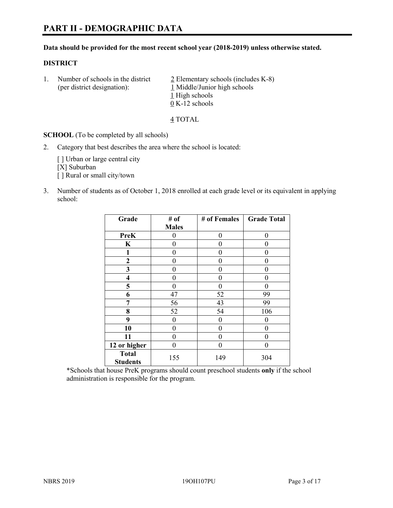#### **Data should be provided for the most recent school year (2018-2019) unless otherwise stated.**

# **DISTRICT**

1. Number of schools in the district  $\frac{2}{2}$  Elementary schools (includes K-8) (per district designation): 1 Middle/Junior high schools 1 High schools 0 K-12 schools

4 TOTAL

**SCHOOL** (To be completed by all schools)

2. Category that best describes the area where the school is located:

[ ] Urban or large central city [X] Suburban [] Rural or small city/town

3. Number of students as of October 1, 2018 enrolled at each grade level or its equivalent in applying school:

| Grade                           | # of         | # of Females | <b>Grade Total</b> |
|---------------------------------|--------------|--------------|--------------------|
|                                 | <b>Males</b> |              |                    |
| <b>PreK</b>                     | 0            | $\theta$     | 0                  |
| $\mathbf K$                     | 0            | $\theta$     |                    |
| 1                               | 0            | 0            | 0                  |
| 2                               | 0            | 0            | 0                  |
| 3                               | 0            | 0            | 0                  |
| $\overline{\mathbf{4}}$         | 0            | $\theta$     | 0                  |
| 5                               | 0            | $\theta$     | 0                  |
| 6                               | 47           | 52           | 99                 |
| 7                               | 56           | 43           | 99                 |
| 8                               | 52           | 54           | 106                |
| 9                               | 0            | $\theta$     | 0                  |
| 10                              | 0            | $\theta$     | 0                  |
| 11                              | 0            | 0            | 0                  |
| 12 or higher                    | 0            | $\theta$     | 0                  |
| <b>Total</b><br><b>Students</b> | 155          | 149          | 304                |

\*Schools that house PreK programs should count preschool students **only** if the school administration is responsible for the program.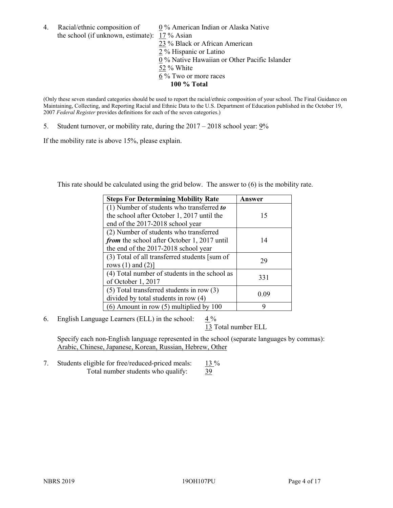4. Racial/ethnic composition of  $0\%$  American Indian or Alaska Native the school (if unknown, estimate): 17 % Asian

23 % Black or African American 2 % Hispanic or Latino 0 % Native Hawaiian or Other Pacific Islander 52 % White  $6\%$  Two or more races **100 % Total**

(Only these seven standard categories should be used to report the racial/ethnic composition of your school. The Final Guidance on Maintaining, Collecting, and Reporting Racial and Ethnic Data to the U.S. Department of Education published in the October 19, 2007 *Federal Register* provides definitions for each of the seven categories.)

5. Student turnover, or mobility rate, during the 2017 – 2018 school year: 9%

If the mobility rate is above 15%, please explain.

This rate should be calculated using the grid below. The answer to (6) is the mobility rate.

| <b>Steps For Determining Mobility Rate</b>    | Answer |
|-----------------------------------------------|--------|
| (1) Number of students who transferred to     |        |
| the school after October 1, 2017 until the    | 15     |
| end of the 2017-2018 school year              |        |
| (2) Number of students who transferred        |        |
| from the school after October 1, 2017 until   | 14     |
| the end of the 2017-2018 school year          |        |
| (3) Total of all transferred students [sum of | 29     |
| rows $(1)$ and $(2)$ ]                        |        |
| (4) Total number of students in the school as |        |
| of October 1, 2017                            | 331    |
| $(5)$ Total transferred students in row $(3)$ |        |
| divided by total students in row (4)          | 0.09   |
| $(6)$ Amount in row $(5)$ multiplied by 100   | 9      |

6. English Language Learners (ELL) in the school:  $4\%$ 

13 Total number ELL

Specify each non-English language represented in the school (separate languages by commas): Arabic, Chinese, Japanese, Korean, Russian, Hebrew, Other

7. Students eligible for free/reduced-priced meals: 13 % Total number students who qualify: 39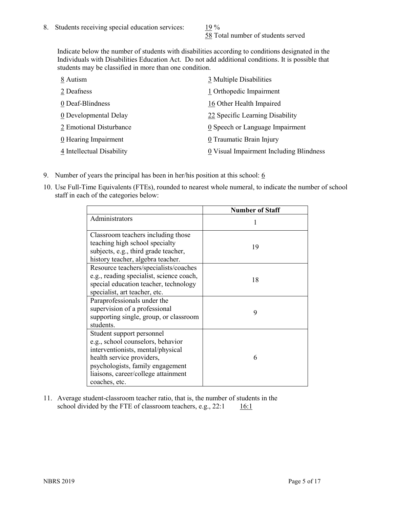58 Total number of students served

Indicate below the number of students with disabilities according to conditions designated in the Individuals with Disabilities Education Act. Do not add additional conditions. It is possible that students may be classified in more than one condition.

| 8 Autism                           | 3 Multiple Disabilities                 |
|------------------------------------|-----------------------------------------|
| 2 Deafness                         | 1 Orthopedic Impairment                 |
| 0 Deaf-Blindness                   | 16 Other Health Impaired                |
| 0 Developmental Delay              | 22 Specific Learning Disability         |
| 2 Emotional Disturbance            | 0 Speech or Language Impairment         |
| $\underline{0}$ Hearing Impairment | 0 Traumatic Brain Injury                |
| 4 Intellectual Disability          | 0 Visual Impairment Including Blindness |

- 9. Number of years the principal has been in her/his position at this school:  $6$
- 10. Use Full-Time Equivalents (FTEs), rounded to nearest whole numeral, to indicate the number of school staff in each of the categories below:

|                                                                                                                                                                                                                              | <b>Number of Staff</b> |
|------------------------------------------------------------------------------------------------------------------------------------------------------------------------------------------------------------------------------|------------------------|
| Administrators                                                                                                                                                                                                               |                        |
| Classroom teachers including those<br>teaching high school specialty<br>subjects, e.g., third grade teacher,<br>history teacher, algebra teacher.                                                                            | 19                     |
| Resource teachers/specialists/coaches<br>e.g., reading specialist, science coach,<br>special education teacher, technology<br>specialist, art teacher, etc.                                                                  | 18                     |
| Paraprofessionals under the<br>supervision of a professional<br>supporting single, group, or classroom<br>students.                                                                                                          | 9                      |
| Student support personnel<br>e.g., school counselors, behavior<br>interventionists, mental/physical<br>health service providers,<br>psychologists, family engagement<br>liaisons, career/college attainment<br>coaches, etc. | 6                      |

11. Average student-classroom teacher ratio, that is, the number of students in the school divided by the FTE of classroom teachers, e.g.,  $22:1$  16:1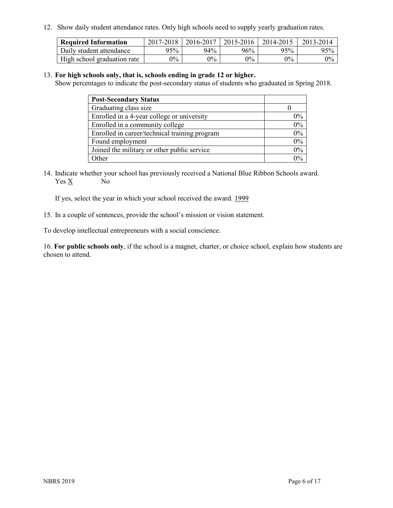12. Show daily student attendance rates. Only high schools need to supply yearly graduation rates.

| <b>Required Information</b> | 2017-2018 | 2016-2017 | 2015-2016 | 2014-2015 | 2013-2014 |
|-----------------------------|-----------|-----------|-----------|-----------|-----------|
| Daily student attendance    | 95%       | 94%       | 96%       | 95%       | 95%       |
| High school graduation rate | $0\%$     | $0\%$     | $0\%$     | $9\%$     | $0\%$     |

#### 13. **For high schools only, that is, schools ending in grade 12 or higher.**

Show percentages to indicate the post-secondary status of students who graduated in Spring 2018.

| <b>Post-Secondary Status</b>                  |       |
|-----------------------------------------------|-------|
| Graduating class size                         |       |
| Enrolled in a 4-year college or university    | $0\%$ |
| Enrolled in a community college               | 0%    |
| Enrolled in career/technical training program | 0%    |
| Found employment                              | 0%    |
| Joined the military or other public service   | 0%    |
| Other                                         | $0\%$ |

14. Indicate whether your school has previously received a National Blue Ribbon Schools award. Yes X No

If yes, select the year in which your school received the award. 1999

15. In a couple of sentences, provide the school's mission or vision statement.

To develop intellectual entrepreneurs with a social conscience.

16. **For public schools only**, if the school is a magnet, charter, or choice school, explain how students are chosen to attend.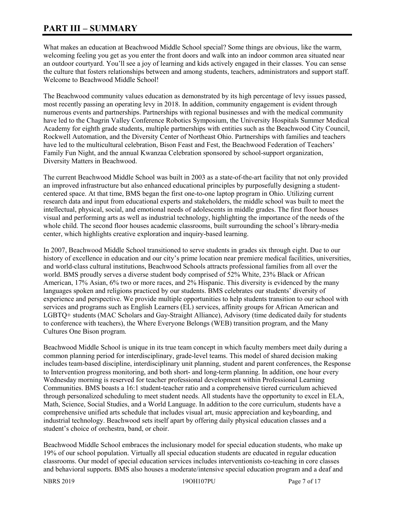# **PART III – SUMMARY**

What makes an education at Beachwood Middle School special? Some things are obvious, like the warm, welcoming feeling you get as you enter the front doors and walk into an indoor common area situated near an outdoor courtyard. You'll see a joy of learning and kids actively engaged in their classes. You can sense the culture that fosters relationships between and among students, teachers, administrators and support staff. Welcome to Beachwood Middle School!

The Beachwood community values education as demonstrated by its high percentage of levy issues passed, most recently passing an operating levy in 2018. In addition, community engagement is evident through numerous events and partnerships. Partnerships with regional businesses and with the medical community have led to the Chagrin Valley Conference Robotics Symposium, the University Hospitals Summer Medical Academy for eighth grade students, multiple partnerships with entities such as the Beachwood City Council, Rockwell Automation, and the Diversity Center of Northeast Ohio. Partnerships with families and teachers have led to the multicultural celebration, Bison Feast and Fest, the Beachwood Federation of Teachers' Family Fun Night, and the annual Kwanzaa Celebration sponsored by school-support organization, Diversity Matters in Beachwood.

The current Beachwood Middle School was built in 2003 as a state-of-the-art facility that not only provided an improved infrastructure but also enhanced educational principles by purposefully designing a studentcentered space. At that time, BMS began the first one-to-one laptop program in Ohio. Utilizing current research data and input from educational experts and stakeholders, the middle school was built to meet the intellectual, physical, social, and emotional needs of adolescents in middle grades. The first floor houses visual and performing arts as well as industrial technology, highlighting the importance of the needs of the whole child. The second floor houses academic classrooms, built surrounding the school's library-media center, which highlights creative exploration and inquiry-based learning.

In 2007, Beachwood Middle School transitioned to serve students in grades six through eight. Due to our history of excellence in education and our city's prime location near premiere medical facilities, universities, and world-class cultural institutions, Beachwood Schools attracts professional families from all over the world. BMS proudly serves a diverse student body comprised of 52% White, 23% Black or African American, 17% Asian, 6% two or more races, and 2% Hispanic. This diversity is evidenced by the many languages spoken and religions practiced by our students. BMS celebrates our students' diversity of experience and perspective. We provide multiple opportunities to help students transition to our school with services and programs such as English Learners (EL) services, affinity groups for African American and LGBTQ+ students (MAC Scholars and Gay-Straight Alliance), Advisory (time dedicated daily for students to conference with teachers), the Where Everyone Belongs (WEB) transition program, and the Many Cultures One Bison program.

Beachwood Middle School is unique in its true team concept in which faculty members meet daily during a common planning period for interdisciplinary, grade-level teams. This model of shared decision making includes team-based discipline, interdisciplinary unit planning, student and parent conferences, the Response to Intervention progress monitoring, and both short- and long-term planning. In addition, one hour every Wednesday morning is reserved for teacher professional development within Professional Learning Communities. BMS boasts a 16:1 student-teacher ratio and a comprehensive tiered curriculum achieved through personalized scheduling to meet student needs. All students have the opportunity to excel in ELA, Math, Science, Social Studies, and a World Language. In addition to the core curriculum, students have a comprehensive unified arts schedule that includes visual art, music appreciation and keyboarding, and industrial technology. Beachwood sets itself apart by offering daily physical education classes and a student's choice of orchestra, band, or choir.

Beachwood Middle School embraces the inclusionary model for special education students, who make up 19% of our school population. Virtually all special education students are educated in regular education classrooms. Our model of special education services includes interventionists co-teaching in core classes and behavioral supports. BMS also houses a moderate/intensive special education program and a deaf and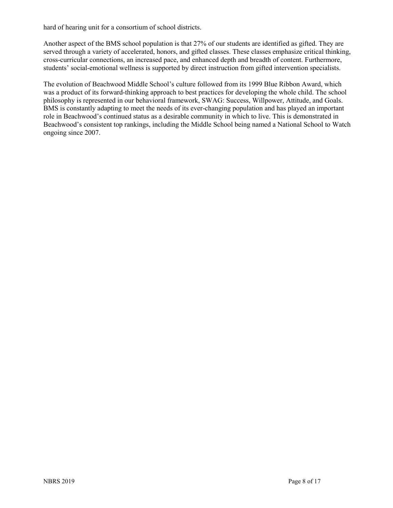hard of hearing unit for a consortium of school districts.

Another aspect of the BMS school population is that 27% of our students are identified as gifted. They are served through a variety of accelerated, honors, and gifted classes. These classes emphasize critical thinking, cross-curricular connections, an increased pace, and enhanced depth and breadth of content. Furthermore, students' social-emotional wellness is supported by direct instruction from gifted intervention specialists.

The evolution of Beachwood Middle School's culture followed from its 1999 Blue Ribbon Award, which was a product of its forward-thinking approach to best practices for developing the whole child. The school philosophy is represented in our behavioral framework, SWAG: Success, Willpower, Attitude, and Goals. BMS is constantly adapting to meet the needs of its ever-changing population and has played an important role in Beachwood's continued status as a desirable community in which to live. This is demonstrated in Beachwood's consistent top rankings, including the Middle School being named a National School to Watch ongoing since 2007.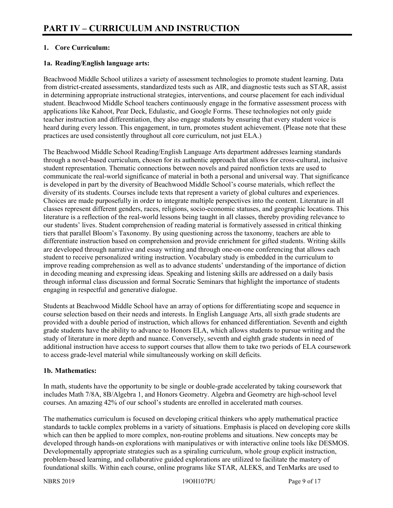# **1. Core Curriculum:**

# **1a. Reading/English language arts:**

Beachwood Middle School utilizes a variety of assessment technologies to promote student learning. Data from district-created assessments, standardized tests such as AIR, and diagnostic tests such as STAR, assist in determining appropriate instructional strategies, interventions, and course placement for each individual student. Beachwood Middle School teachers continuously engage in the formative assessment process with applications like Kahoot, Pear Deck, Edulastic, and Google Forms. These technologies not only guide teacher instruction and differentiation, they also engage students by ensuring that every student voice is heard during every lesson. This engagement, in turn, promotes student achievement. (Please note that these practices are used consistently throughout all core curriculum, not just ELA.)

The Beachwood Middle School Reading/English Language Arts department addresses learning standards through a novel-based curriculum, chosen for its authentic approach that allows for cross-cultural, inclusive student representation. Thematic connections between novels and paired nonfiction texts are used to communicate the real-world significance of material in both a personal and universal way. That significance is developed in part by the diversity of Beachwood Middle School's course materials, which reflect the diversity of its students. Courses include texts that represent a variety of global cultures and experiences. Choices are made purposefully in order to integrate multiple perspectives into the content. Literature in all classes represent different genders, races, religions, socio-economic statuses, and geographic locations. This literature is a reflection of the real-world lessons being taught in all classes, thereby providing relevance to our students' lives. Student comprehension of reading material is formatively assessed in critical thinking tiers that parallel Bloom's Taxonomy. By using questioning across the taxonomy, teachers are able to differentiate instruction based on comprehension and provide enrichment for gifted students. Writing skills are developed through narrative and essay writing and through one-on-one conferencing that allows each student to receive personalized writing instruction. Vocabulary study is embedded in the curriculum to improve reading comprehension as well as to advance students' understanding of the importance of diction in decoding meaning and expressing ideas. Speaking and listening skills are addressed on a daily basis through informal class discussion and formal Socratic Seminars that highlight the importance of students engaging in respectful and generative dialogue.

Students at Beachwood Middle School have an array of options for differentiating scope and sequence in course selection based on their needs and interests. In English Language Arts, all sixth grade students are provided with a double period of instruction, which allows for enhanced differentiation. Seventh and eighth grade students have the ability to advance to Honors ELA, which allows students to pursue writing and the study of literature in more depth and nuance. Conversely, seventh and eighth grade students in need of additional instruction have access to support courses that allow them to take two periods of ELA coursework to access grade-level material while simultaneously working on skill deficits.

# **1b. Mathematics:**

In math, students have the opportunity to be single or double-grade accelerated by taking coursework that includes Math 7/8A, 8B/Algebra 1, and Honors Geometry. Algebra and Geometry are high-school level courses. An amazing 42% of our school's students are enrolled in accelerated math courses.

The mathematics curriculum is focused on developing critical thinkers who apply mathematical practice standards to tackle complex problems in a variety of situations. Emphasis is placed on developing core skills which can then be applied to more complex, non-routine problems and situations. New concepts may be developed through hands-on explorations with manipulatives or with interactive online tools like DESMOS. Developmentally appropriate strategies such as a spiraling curriculum, whole group explicit instruction, problem-based learning, and collaborative guided explorations are utilized to facilitate the mastery of foundational skills. Within each course, online programs like STAR, ALEKS, and TenMarks are used to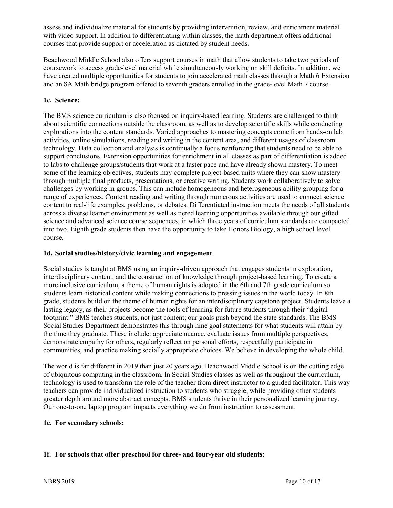assess and individualize material for students by providing intervention, review, and enrichment material with video support. In addition to differentiating within classes, the math department offers additional courses that provide support or acceleration as dictated by student needs.

Beachwood Middle School also offers support courses in math that allow students to take two periods of coursework to access grade-level material while simultaneously working on skill deficits. In addition, we have created multiple opportunities for students to join accelerated math classes through a Math 6 Extension and an 8A Math bridge program offered to seventh graders enrolled in the grade-level Math 7 course.

# **1c. Science:**

The BMS science curriculum is also focused on inquiry-based learning. Students are challenged to think about scientific connections outside the classroom, as well as to develop scientific skills while conducting explorations into the content standards. Varied approaches to mastering concepts come from hands-on lab activities, online simulations, reading and writing in the content area, and different usages of classroom technology. Data collection and analysis is continually a focus reinforcing that students need to be able to support conclusions. Extension opportunities for enrichment in all classes as part of differentiation is added to labs to challenge groups/students that work at a faster pace and have already shown mastery. To meet some of the learning objectives, students may complete project-based units where they can show mastery through multiple final products, presentations, or creative writing. Students work collaboratively to solve challenges by working in groups. This can include homogeneous and heterogeneous ability grouping for a range of experiences. Content reading and writing through numerous activities are used to connect science content to real-life examples, problems, or debates. Differentiated instruction meets the needs of all students across a diverse learner environment as well as tiered learning opportunities available through our gifted science and advanced science course sequences, in which three years of curriculum standards are compacted into two. Eighth grade students then have the opportunity to take Honors Biology, a high school level course.

# **1d. Social studies/history/civic learning and engagement**

Social studies is taught at BMS using an inquiry-driven approach that engages students in exploration, interdisciplinary content, and the construction of knowledge through project-based learning. To create a more inclusive curriculum, a theme of human rights is adopted in the 6th and 7th grade curriculum so students learn historical content while making connections to pressing issues in the world today. In 8th grade, students build on the theme of human rights for an interdisciplinary capstone project. Students leave a lasting legacy, as their projects become the tools of learning for future students through their "digital footprint." BMS teaches students, not just content; our goals push beyond the state standards. The BMS Social Studies Department demonstrates this through nine goal statements for what students will attain by the time they graduate. These include: appreciate nuance, evaluate issues from multiple perspectives, demonstrate empathy for others, regularly reflect on personal efforts, respectfully participate in communities, and practice making socially appropriate choices. We believe in developing the whole child.

The world is far different in 2019 than just 20 years ago. Beachwood Middle School is on the cutting edge of ubiquitous computing in the classroom. In Social Studies classes as well as throughout the curriculum, technology is used to transform the role of the teacher from direct instructor to a guided facilitator. This way teachers can provide individualized instruction to students who struggle, while providing other students greater depth around more abstract concepts. BMS students thrive in their personalized learning journey. Our one-to-one laptop program impacts everything we do from instruction to assessment.

#### **1e. For secondary schools:**

# **1f. For schools that offer preschool for three- and four-year old students:**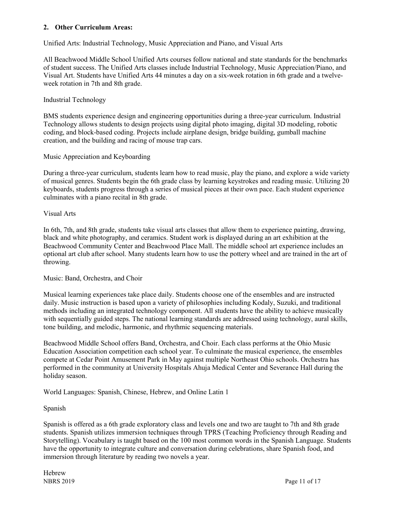# **2. Other Curriculum Areas:**

Unified Arts: Industrial Technology, Music Appreciation and Piano, and Visual Arts

All Beachwood Middle School Unified Arts courses follow national and state standards for the benchmarks of student success. The Unified Arts classes include Industrial Technology, Music Appreciation/Piano, and Visual Art. Students have Unified Arts 44 minutes a day on a six-week rotation in 6th grade and a twelveweek rotation in 7th and 8th grade.

#### Industrial Technology

BMS students experience design and engineering opportunities during a three-year curriculum. Industrial Technology allows students to design projects using digital photo imaging, digital 3D modeling, robotic coding, and block-based coding. Projects include airplane design, bridge building, gumball machine creation, and the building and racing of mouse trap cars.

#### Music Appreciation and Keyboarding

During a three-year curriculum, students learn how to read music, play the piano, and explore a wide variety of musical genres. Students begin the 6th grade class by learning keystrokes and reading music. Utilizing 20 keyboards, students progress through a series of musical pieces at their own pace. Each student experience culminates with a piano recital in 8th grade.

#### Visual Arts

In 6th, 7th, and 8th grade, students take visual arts classes that allow them to experience painting, drawing, black and white photography, and ceramics. Student work is displayed during an art exhibition at the Beachwood Community Center and Beachwood Place Mall. The middle school art experience includes an optional art club after school. Many students learn how to use the pottery wheel and are trained in the art of throwing.

#### Music: Band, Orchestra, and Choir

Musical learning experiences take place daily. Students choose one of the ensembles and are instructed daily. Music instruction is based upon a variety of philosophies including Kodaly, Suzuki, and traditional methods including an integrated technology component. All students have the ability to achieve musically with sequentially guided steps. The national learning standards are addressed using technology, aural skills, tone building, and melodic, harmonic, and rhythmic sequencing materials.

Beachwood Middle School offers Band, Orchestra, and Choir. Each class performs at the Ohio Music Education Association competition each school year. To culminate the musical experience, the ensembles compete at Cedar Point Amusement Park in May against multiple Northeast Ohio schools. Orchestra has performed in the community at University Hospitals Ahuja Medical Center and Severance Hall during the holiday season.

World Languages: Spanish, Chinese, Hebrew, and Online Latin 1

#### Spanish

Spanish is offered as a 6th grade exploratory class and levels one and two are taught to 7th and 8th grade students. Spanish utilizes immersion techniques through TPRS (Teaching Proficiency through Reading and Storytelling). Vocabulary is taught based on the 100 most common words in the Spanish Language. Students have the opportunity to integrate culture and conversation during celebrations, share Spanish food, and immersion through literature by reading two novels a year.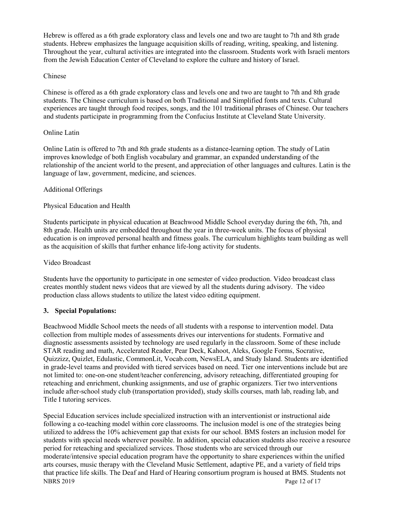Hebrew is offered as a 6th grade exploratory class and levels one and two are taught to 7th and 8th grade students. Hebrew emphasizes the language acquisition skills of reading, writing, speaking, and listening. Throughout the year, cultural activities are integrated into the classroom. Students work with Israeli mentors from the Jewish Education Center of Cleveland to explore the culture and history of Israel.

# Chinese

Chinese is offered as a 6th grade exploratory class and levels one and two are taught to 7th and 8th grade students. The Chinese curriculum is based on both Traditional and Simplified fonts and texts. Cultural experiences are taught through food recipes, songs, and the 101 traditional phrases of Chinese. Our teachers and students participate in programming from the Confucius Institute at Cleveland State University.

# Online Latin

Online Latin is offered to 7th and 8th grade students as a distance-learning option. The study of Latin improves knowledge of both English vocabulary and grammar, an expanded understanding of the relationship of the ancient world to the present, and appreciation of other languages and cultures. Latin is the language of law, government, medicine, and sciences.

# Additional Offerings

# Physical Education and Health

Students participate in physical education at Beachwood Middle School everyday during the 6th, 7th, and 8th grade. Health units are embedded throughout the year in three-week units. The focus of physical education is on improved personal health and fitness goals. The curriculum highlights team building as well as the acquisition of skills that further enhance life-long activity for students.

#### Video Broadcast

Students have the opportunity to participate in one semester of video production. Video broadcast class creates monthly student news videos that are viewed by all the students during advisory. The video production class allows students to utilize the latest video editing equipment.

# **3. Special Populations:**

Beachwood Middle School meets the needs of all students with a response to intervention model. Data collection from multiple modes of assessments drives our interventions for students. Formative and diagnostic assessments assisted by technology are used regularly in the classroom. Some of these include STAR reading and math, Accelerated Reader, Pear Deck, Kahoot, Aleks, Google Forms, Socrative, Quizzizz, Quizlet, Edulastic, CommonLit, Vocab.com, NewsELA, and Study Island. Students are identified in grade-level teams and provided with tiered services based on need. Tier one interventions include but are not limited to: one-on-one student/teacher conferencing, advisory reteaching, differentiated grouping for reteaching and enrichment, chunking assignments, and use of graphic organizers. Tier two interventions include after-school study club (transportation provided), study skills courses, math lab, reading lab, and Title I tutoring services.

NBRS 2019 Page 12 of 17 Special Education services include specialized instruction with an interventionist or instructional aide following a co-teaching model within core classrooms. The inclusion model is one of the strategies being utilized to address the 10% achievement gap that exists for our school. BMS fosters an inclusion model for students with special needs wherever possible. In addition, special education students also receive a resource period for reteaching and specialized services. Those students who are serviced through our moderate/intensive special education program have the opportunity to share experiences within the unified arts courses, music therapy with the Cleveland Music Settlement, adaptive PE, and a variety of field trips that practice life skills. The Deaf and Hard of Hearing consortium program is housed at BMS. Students not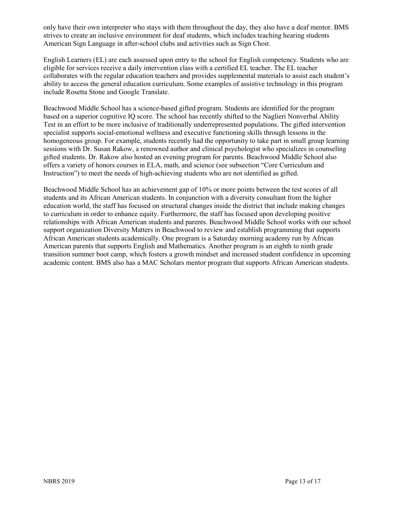only have their own interpreter who stays with them throughout the day, they also have a deaf mentor. BMS strives to create an inclusive environment for deaf students, which includes teaching hearing students American Sign Language in after-school clubs and activities such as Sign Choir.

English Learners (EL) are each assessed upon entry to the school for English competency. Students who are eligible for services receive a daily intervention class with a certified EL teacher. The EL teacher collaborates with the regular education teachers and provides supplemental materials to assist each student's ability to access the general education curriculum. Some examples of assistive technology in this program include Rosetta Stone and Google Translate.

Beachwood Middle School has a science-based gifted program. Students are identified for the program based on a superior cognitive IQ score. The school has recently shifted to the Naglieri Nonverbal Ability Test in an effort to be more inclusive of traditionally underrepresented populations. The gifted intervention specialist supports social-emotional wellness and executive functioning skills through lessons in the homogeneous group. For example, students recently had the opportunity to take part in small group learning sessions with Dr. Susan Rakow, a renowned author and clinical psychologist who specializes in counseling gifted students. Dr. Rakow also hosted an evening program for parents. Beachwood Middle School also offers a variety of honors courses in ELA, math, and science (see subsection "Core Curriculum and Instruction") to meet the needs of high-achieving students who are not identified as gifted.

Beachwood Middle School has an achievement gap of 10% or more points between the test scores of all students and its African American students. In conjunction with a diversity consultant from the higher education world, the staff has focused on structural changes inside the district that include making changes to curriculum in order to enhance equity. Furthermore, the staff has focused upon developing positive relationships with African American students and parents. Beachwood Middle School works with our school support organization Diversity Matters in Beachwood to review and establish programming that supports African American students academically. One program is a Saturday morning academy run by African American parents that supports English and Mathematics. Another program is an eighth to ninth grade transition summer boot camp, which fosters a growth mindset and increased student confidence in upcoming academic content. BMS also has a MAC Scholars mentor program that supports African American students.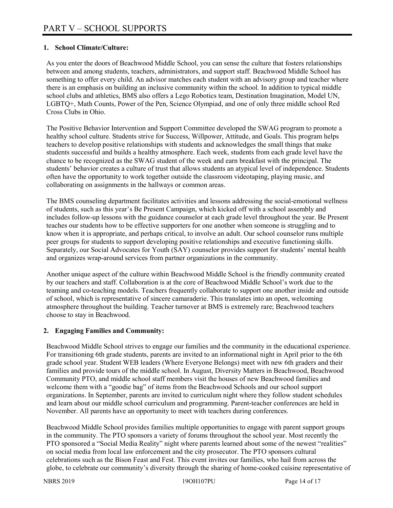# **1. School Climate/Culture:**

As you enter the doors of Beachwood Middle School, you can sense the culture that fosters relationships between and among students, teachers, administrators, and support staff. Beachwood Middle School has something to offer every child. An advisor matches each student with an advisory group and teacher where there is an emphasis on building an inclusive community within the school. In addition to typical middle school clubs and athletics, BMS also offers a Lego Robotics team, Destination Imagination, Model UN, LGBTQ+, Math Counts, Power of the Pen, Science Olympiad, and one of only three middle school Red Cross Clubs in Ohio.

The Positive Behavior Intervention and Support Committee developed the SWAG program to promote a healthy school culture. Students strive for Success, Willpower, Attitude, and Goals. This program helps teachers to develop positive relationships with students and acknowledges the small things that make students successful and builds a healthy atmosphere. Each week, students from each grade level have the chance to be recognized as the SWAG student of the week and earn breakfast with the principal. The students' behavior creates a culture of trust that allows students an atypical level of independence. Students often have the opportunity to work together outside the classroom videotaping, playing music, and collaborating on assignments in the hallways or common areas.

The BMS counseling department facilitates activities and lessons addressing the social-emotional wellness of students, such as this year's Be Present Campaign, which kicked off with a school assembly and includes follow-up lessons with the guidance counselor at each grade level throughout the year. Be Present teaches our students how to be effective supporters for one another when someone is struggling and to know when it is appropriate, and perhaps critical, to involve an adult. Our school counselor runs multiple peer groups for students to support developing positive relationships and executive functioning skills. Separately, our Social Advocates for Youth (SAY) counselor provides support for students' mental health and organizes wrap-around services from partner organizations in the community.

Another unique aspect of the culture within Beachwood Middle School is the friendly community created by our teachers and staff. Collaboration is at the core of Beachwood Middle School's work due to the teaming and co-teaching models. Teachers frequently collaborate to support one another inside and outside of school, which is representative of sincere camaraderie. This translates into an open, welcoming atmosphere throughout the building. Teacher turnover at BMS is extremely rare; Beachwood teachers choose to stay in Beachwood.

#### **2. Engaging Families and Community:**

Beachwood Middle School strives to engage our families and the community in the educational experience. For transitioning 6th grade students, parents are invited to an informational night in April prior to the 6th grade school year. Student WEB leaders (Where Everyone Belongs) meet with new 6th graders and their families and provide tours of the middle school. In August, Diversity Matters in Beachwood, Beachwood Community PTO, and middle school staff members visit the houses of new Beachwood families and welcome them with a "goodie bag" of items from the Beachwood Schools and our school support organizations. In September, parents are invited to curriculum night where they follow student schedules and learn about our middle school curriculum and programming. Parent-teacher conferences are held in November. All parents have an opportunity to meet with teachers during conferences.

Beachwood Middle School provides families multiple opportunities to engage with parent support groups in the community. The PTO sponsors a variety of forums throughout the school year. Most recently the PTO sponsored a "Social Media Reality" night where parents learned about some of the newest "realities" on social media from local law enforcement and the city prosecutor. The PTO sponsors cultural celebrations such as the Bison Feast and Fest. This event invites our families, who hail from across the globe, to celebrate our community's diversity through the sharing of home-cooked cuisine representative of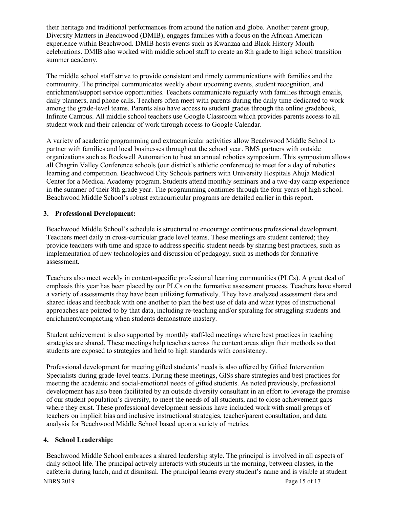their heritage and traditional performances from around the nation and globe. Another parent group, Diversity Matters in Beachwood (DMIB), engages families with a focus on the African American experience within Beachwood. DMIB hosts events such as Kwanzaa and Black History Month celebrations. DMIB also worked with middle school staff to create an 8th grade to high school transition summer academy.

The middle school staff strive to provide consistent and timely communications with families and the community. The principal communicates weekly about upcoming events, student recognition, and enrichment/support service opportunities. Teachers communicate regularly with families through emails, daily planners, and phone calls. Teachers often meet with parents during the daily time dedicated to work among the grade-level teams. Parents also have access to student grades through the online gradebook, Infinite Campus. All middle school teachers use Google Classroom which provides parents access to all student work and their calendar of work through access to Google Calendar.

A variety of academic programming and extracurricular activities allow Beachwood Middle School to partner with families and local businesses throughout the school year. BMS partners with outside organizations such as Rockwell Automation to host an annual robotics symposium. This symposium allows all Chagrin Valley Conference schools (our district's athletic conference) to meet for a day of robotics learning and competition. Beachwood City Schools partners with University Hospitals Ahuja Medical Center for a Medical Academy program. Students attend monthly seminars and a two-day camp experience in the summer of their 8th grade year. The programming continues through the four years of high school. Beachwood Middle School's robust extracurricular programs are detailed earlier in this report.

# **3. Professional Development:**

Beachwood Middle School's schedule is structured to encourage continuous professional development. Teachers meet daily in cross-curricular grade level teams. These meetings are student centered; they provide teachers with time and space to address specific student needs by sharing best practices, such as implementation of new technologies and discussion of pedagogy, such as methods for formative assessment.

Teachers also meet weekly in content-specific professional learning communities (PLCs). A great deal of emphasis this year has been placed by our PLCs on the formative assessment process. Teachers have shared a variety of assessments they have been utilizing formatively. They have analyzed assessment data and shared ideas and feedback with one another to plan the best use of data and what types of instructional approaches are pointed to by that data, including re-teaching and/or spiraling for struggling students and enrichment/compacting when students demonstrate mastery.

Student achievement is also supported by monthly staff-led meetings where best practices in teaching strategies are shared. These meetings help teachers across the content areas align their methods so that students are exposed to strategies and held to high standards with consistency.

Professional development for meeting gifted students' needs is also offered by Gifted Intervention Specialists during grade-level teams. During these meetings, GISs share strategies and best practices for meeting the academic and social-emotional needs of gifted students. As noted previously, professional development has also been facilitated by an outside diversity consultant in an effort to leverage the promise of our student population's diversity, to meet the needs of all students, and to close achievement gaps where they exist. These professional development sessions have included work with small groups of teachers on implicit bias and inclusive instructional strategies, teacher/parent consultation, and data analysis for Beachwood Middle School based upon a variety of metrics.

# **4. School Leadership:**

NBRS 2019 Page 15 of 17 Beachwood Middle School embraces a shared leadership style. The principal is involved in all aspects of daily school life. The principal actively interacts with students in the morning, between classes, in the cafeteria during lunch, and at dismissal. The principal learns every student's name and is visible at student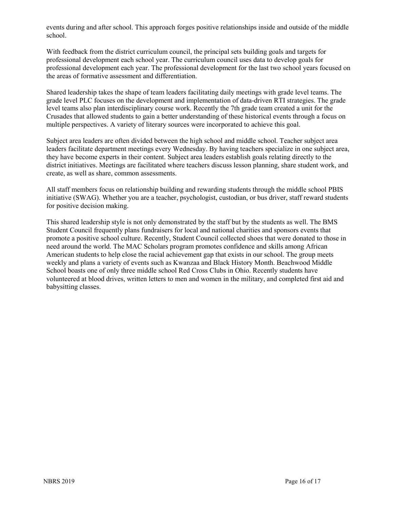events during and after school. This approach forges positive relationships inside and outside of the middle school.

With feedback from the district curriculum council, the principal sets building goals and targets for professional development each school year. The curriculum council uses data to develop goals for professional development each year. The professional development for the last two school years focused on the areas of formative assessment and differentiation.

Shared leadership takes the shape of team leaders facilitating daily meetings with grade level teams. The grade level PLC focuses on the development and implementation of data-driven RTI strategies. The grade level teams also plan interdisciplinary course work. Recently the 7th grade team created a unit for the Crusades that allowed students to gain a better understanding of these historical events through a focus on multiple perspectives. A variety of literary sources were incorporated to achieve this goal.

Subject area leaders are often divided between the high school and middle school. Teacher subject area leaders facilitate department meetings every Wednesday. By having teachers specialize in one subject area, they have become experts in their content. Subject area leaders establish goals relating directly to the district initiatives. Meetings are facilitated where teachers discuss lesson planning, share student work, and create, as well as share, common assessments.

All staff members focus on relationship building and rewarding students through the middle school PBIS initiative (SWAG). Whether you are a teacher, psychologist, custodian, or bus driver, staff reward students for positive decision making.

This shared leadership style is not only demonstrated by the staff but by the students as well. The BMS Student Council frequently plans fundraisers for local and national charities and sponsors events that promote a positive school culture. Recently, Student Council collected shoes that were donated to those in need around the world. The MAC Scholars program promotes confidence and skills among African American students to help close the racial achievement gap that exists in our school. The group meets weekly and plans a variety of events such as Kwanzaa and Black History Month. Beachwood Middle School boasts one of only three middle school Red Cross Clubs in Ohio. Recently students have volunteered at blood drives, written letters to men and women in the military, and completed first aid and babysitting classes.